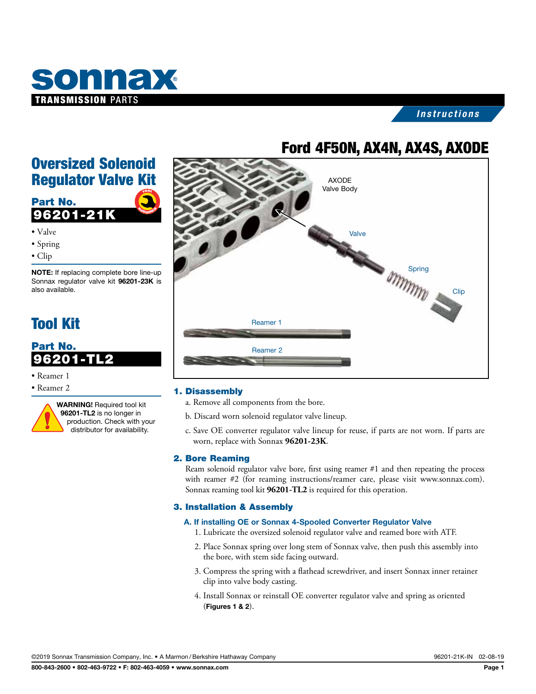

#### *Instructions*

## Ford 4F50N, AX4N, AX4S, AXODE

## Oversized Solenoid Regulator Valve Kit



- Valve
- Spring
- Clip

NOTE: If replacing complete bore line-up Sonnax regulator valve kit 96201-23K is also available.

## Tool Kit

### Part No. 96201-TL2

- Reamer 1
- Reamer 2



WARNING! Required tool kit 96201-TL2 is no longer in production. Check with your distributor for availability.



#### 1. Disassembly

- a. Remove all components from the bore.
- b. Discard worn solenoid regulator valve lineup.
- c. Save OE converter regulator valve lineup for reuse, if parts are not worn. If parts are worn, replace with Sonnax **96201-23K**.

#### 2. Bore Reaming

Ream solenoid regulator valve bore, first using reamer #1 and then repeating the process with reamer #2 (for reaming instructions/reamer care, please visit www.sonnax.com). Sonnax reaming tool kit **96201-TL2** is required for this operation.

#### 3. Installation & Assembly

#### A. If installing OE or Sonnax 4-Spooled Converter Regulator Valve

- 1. Lubricate the oversized solenoid regulator valve and reamed bore with ATF.
- 2. Place Sonnax spring over long stem of Sonnax valve, then push this assembly into the bore, with stem side facing outward.
- 3. Compress the spring with a flathead screwdriver, and insert Sonnax inner retainer clip into valve body casting.
- 4. Install Sonnax or reinstall OE converter regulator valve and spring as oriented (Figures 1 & 2).

©2019 Sonnax Transmission Company, Inc. • A Marmon /Berkshire Hathaway Company 96201-21K-IN 02-08-19